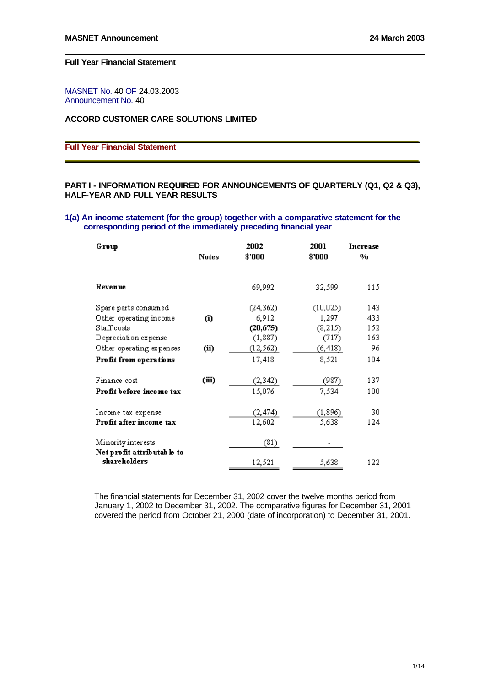MASNET No. 40 OF 24.03.2003 Announcement No. 40

# **ACCORD CUSTOMER CARE SOLUTIONS LIMITED**

# **Full Year Financial Statement**

# **PART I - INFORMATION REQUIRED FOR ANNOUNCEMENTS OF QUARTERLY (Q1, Q2 & Q3), HALF-YEAR AND FULL YEAR RESULTS**

### **1(a) An income statement (for the group) together with a comparative statement for the corresponding period of the immediately preceding financial year**

| Group                                            |       | 2002      | 2001      | Increase |
|--------------------------------------------------|-------|-----------|-----------|----------|
|                                                  | Notes | \$'000    | \$'000    | %        |
|                                                  |       |           |           |          |
| Revenue                                          |       | 69,992    | 32,599    | 115      |
| Spare parts consumed                             |       | (24, 362) | (10, 025) | 143      |
| Other operating income                           | (i)   | 6,912     | 1,297     | 433      |
| Staff costs                                      |       | (20, 675) | (8, 215)  | 152      |
| Depreciation expense                             |       | (1, 887)  | (717)     | 163      |
| Other operating expenses                         | (ii)  | (12, 562) | (6, 418)  | 96       |
| Profit from operations                           |       | 17,418    | 8,521     | 104      |
| Finance cost                                     | (iii) | (2, 342)  | (987)     | 137      |
| Profit before income tax                         |       | 15,076    | 7,534     | 100      |
|                                                  |       |           |           |          |
| Income tax expense                               |       | (2, 474)  | (1, 896)  | 30       |
| Profit after income tax                          |       | 12,602    | 5,638     | 124      |
| Minority interests<br>Net profit attributable to |       | (81)      |           |          |
| shareholders                                     |       | 12,521    | 5,638     | 122      |

The financial statements for December 31, 2002 cover the twelve months period from January 1, 2002 to December 31, 2002. The comparative figures for December 31, 2001 covered the period from October 21, 2000 (date of incorporation) to December 31, 2001.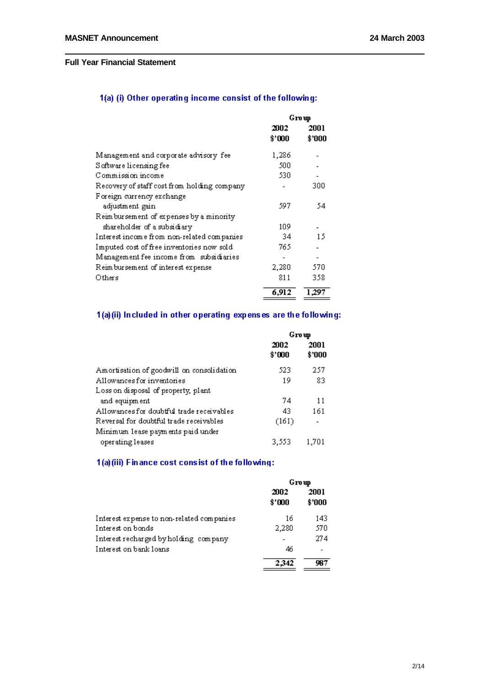# 1(a) (i) Other operating income consist of the following:

|                                              | Group          |                |
|----------------------------------------------|----------------|----------------|
|                                              | 2002<br>\$'000 | 2001<br>\$'000 |
| Management and corporate advisory fee        | 1,286          |                |
| Software licensing fee                       | 500            |                |
| Commission income                            | 530            |                |
| Recovery of staff cost from holding company  |                | 300            |
| Foreign currency exchange<br>adjustment gain | 597            | 54             |
| Reimbursement of expenses by a minority      |                |                |
| shareholder of a subsidiary                  | 109            |                |
| Interest income from non-related companies   | 34             | 15             |
| Imputed cost of free inventories now sold    | 765            |                |
| Management fee income from subsidiaries      |                |                |
| Reimbursement of interest expense            | 2,280          | 570            |
| Others                                       | 811            | 358            |
|                                              | 6,912          | 1,297          |

# 1(a)(ii) Included in other operating expenses are the following:

|                                           | Group          |                          |
|-------------------------------------------|----------------|--------------------------|
|                                           | 2002<br>\$'000 | 2001<br>\$'000           |
| Amortisation of goodwill on consolidation | 523            | 257                      |
| Allowances for inventories                | 19             | 83                       |
| Loss on disposal of property, plant       |                |                          |
| and equipment                             | 74             | 11                       |
| Allowances for doubtful trade receivables | 43             | 161                      |
| Reversal for doubtful trade receivables   | (161)          | $\overline{\phantom{0}}$ |
| Minimum lease payments paid under         |                |                          |
| operating leases                          | 3,553          | 1,701                    |

# 1(a)(iii) Finance cost consist of the following:

|                                           | Group          |                |
|-------------------------------------------|----------------|----------------|
|                                           | 2002<br>\$'000 | 2001<br>\$'000 |
| Interest expense to non-related companies | 16             | 143            |
| Interest on bonds                         | 2,280          | 570            |
| Interest recharged by holding company     | -              | 274            |
| Interest on bank loans                    | 46             |                |
|                                           | 2.342          | 987            |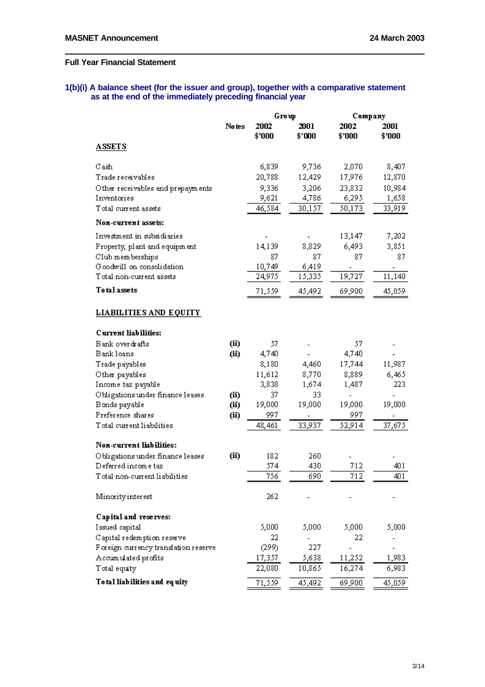### **1(b)(i) A balance sheet (for the issuer and group), together with a comparative statement as at the end of the immediately preceding financial year**

|                                      |        | Group          |                | Company        |                |
|--------------------------------------|--------|----------------|----------------|----------------|----------------|
|                                      | No tes | 2002<br>\$'000 | 2001<br>\$'000 | 2002<br>\$'000 | 2001<br>\$'000 |
| <b>ASSETS</b>                        |        |                |                |                |                |
| Cash                                 |        | 6,839          | 9,736          | 2,070          | 8,407          |
| Trade receivables                    |        | 20,788         | 12,429         | 17,976         | 12,870         |
| Other receivables and prepayments    |        | 9,336          | 3,206          | 23,832         | 10,984         |
| Inventories                          |        | 9,621          | 4,786          | 6,295          | 1,658          |
| Total current assets                 |        | 46,584         | 30,157         | 50,173         | 33,919         |
| Non-current assets:                  |        |                |                |                |                |
| Investment in subsidiaries           |        |                |                | 13,147         | 7,202          |
| Property, plant and equipment        |        | 14,139         | 8,829          | 6,493          | 3,851          |
| Club memberships                     |        | 87             | 87             | 87             | 87             |
| Goodwill on consolidation            |        | 10,749         | 6,419          |                |                |
| T otal non-current assets            |        | 24,975         | 15,335         | 19,727         | 11,140         |
| <b>Total assets</b>                  |        | 71,559         | 45,492         | 69,900         | 45,059         |
| LIABILITIES AND EQUITY               |        |                |                |                |                |
| Current liabilities:                 |        |                |                |                |                |
| Bank overdrafts                      | (ii)   | 57             |                | 57             |                |
| Bank loans                           | (ii)   | 4,740          |                | 4,740          |                |
| Trade payables                       |        | 8,180          | 4,460          | 17,744         | 11,987         |
| Other payables                       |        | 11,612         | 8,770          | 8,889          | 6,465          |
| Income tax payable                   |        | 3,838          | 1,674          | 1,487          | 223            |
| Obligations under finance leases     | (ii)   | 37             | 33             |                |                |
| Bonds payable                        | (ii)   | 19,000         | 19,000         | 19,000         | 19,000         |
| Preference shares                    | (ii)   | 997            |                | 997            |                |
| Total current liabilities            |        | 48,461         | 33,937         | 52,914         | 37,675         |
| Non-current liabilities:             |        |                |                |                |                |
| Obligations under finance leases     | (ii)   | 182            | 260            |                |                |
| Deferred income tax                  |        | 574            | 430            | 712            | 401            |
| Total non-current liabilities        |        | 756            | 690            | 712            | 401            |
| Minority interest                    |        | 262            |                |                |                |
| Capital and reserves:                |        |                |                |                |                |
| Issued capital                       |        | 5,000          | 5,000          | 5,000          | 5,000          |
| Capital redemption reserve           |        | 22             |                | 22             |                |
| Foreign currency translation reserve |        | (299)          | 227            |                |                |
| Accumulated profits                  |        | 17,357         | 5,638          | 11,252         | 1,983          |
| T otal equity                        |        | 22,080         | 10,865         | 16,274         | 6,983          |
| To tal liab ilities and equity       |        | 71,559         | 45,492         | 69,900         | 45,059         |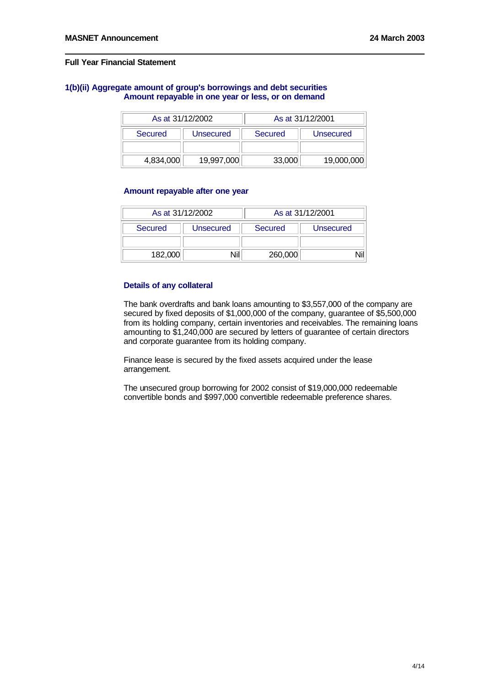### **1(b)(ii) Aggregate amount of group's borrowings and debt securities Amount repayable in one year or less, or on demand**

| As at 31/12/2002 |            | As at 31/12/2001 |            |
|------------------|------------|------------------|------------|
| Secured          | Unsecured  | Secured          | Unsecured  |
|                  |            |                  |            |
| 4,834,000        | 19,997,000 | 33,000           | 19,000,000 |

### **Amount repayable after one year**

|         | As at 31/12/2002 |         | As at 31/12/2001 |
|---------|------------------|---------|------------------|
| Secured | Unsecured        | Secured | Unsecured        |
|         |                  |         |                  |
| 182,000 |                  | 260,000 |                  |

# **Details of any collateral**

The bank overdrafts and bank loans amounting to \$3,557,000 of the company are secured by fixed deposits of \$1,000,000 of the company, guarantee of \$5,500,000 from its holding company, certain inventories and receivables. The remaining loans amounting to \$1,240,000 are secured by letters of guarantee of certain directors and corporate guarantee from its holding company.

Finance lease is secured by the fixed assets acquired under the lease arrangement.

The unsecured group borrowing for 2002 consist of \$19,000,000 redeemable convertible bonds and \$997,000 convertible redeemable preference shares.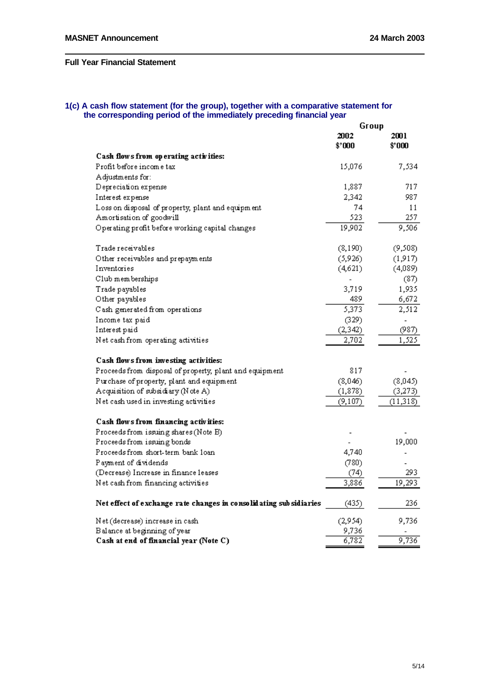#### **1(c) A cash flow statement (for the group), together with a comparative statement for the corresponding period of the immediately preceding financial year**

|                                                                    | Group          |                |
|--------------------------------------------------------------------|----------------|----------------|
|                                                                    | 2002<br>\$'000 | 2001<br>\$'000 |
| Cash flows from op erating activities:                             |                |                |
| Profit before income tax                                           | 15,076         | 7,534          |
| Adjustments for:                                                   |                |                |
| Depreciation expense                                               | 1,887          | 717            |
| Interest expense                                                   | 2,342          | 987.           |
| Loss on disposal of property, plant and equipment                  | 74             | 11             |
| Amortisation of goodwill                                           | 523            | 257            |
| Operating profit before working capital changes                    | 19,902         | 9,506          |
| Trade receivables                                                  | (8, 190)       | (9,508)        |
| Other receivables and prepayments                                  | (5,926)        | (1,917)        |
| Inventories                                                        | (4,621)        | (4,089)        |
| Club memberships                                                   |                | (87)           |
| Trade payables                                                     | 3,719          | 1,935          |
| Other payables                                                     | 489            | 6,672          |
| Cash generated from operations                                     | 5,373          | 2,512          |
| Income tax paid                                                    | (329)          |                |
| Interest paid                                                      | (2, 342)       | (987)          |
| Net cash from operating activities                                 | 2,702          | 1,525          |
| Cash flows from investing activities:                              |                |                |
| Proceeds from disposal of property, plant and equipment            | 817            |                |
| Purchase of property, plant and equipment                          | (8,046)        | (8,045)        |
| Acquisition of subsidiary (Note A)                                 | (1, 878)       | (3,273)        |
| Net cash used in investing activities                              | (9, 107)       | (11, 318)      |
| Cash flows from financing activities:                              |                |                |
| Proceeds from issuing shares (Note B)                              |                |                |
| Proceeds from issuing bonds                                        |                | 19,000         |
| Proceeds from short-term bank loan                                 | 4,740          |                |
| Payment of dividends                                               | (780)          |                |
| (Decrease) Increase in finance leases                              | (74)           | 293            |
| Net cash from financing activities                                 | 3,886          | 19,293         |
| Net effect of exchange rate changes in consolidating sub sidiaries | (435)          | 236            |
| Net (decrease) increase in cash                                    | (2,954)        | 9,736          |
| Balance at beginning of year                                       | 9,736          |                |
| Cash at end of financial year (Note C)                             | 6,782          | 9,736          |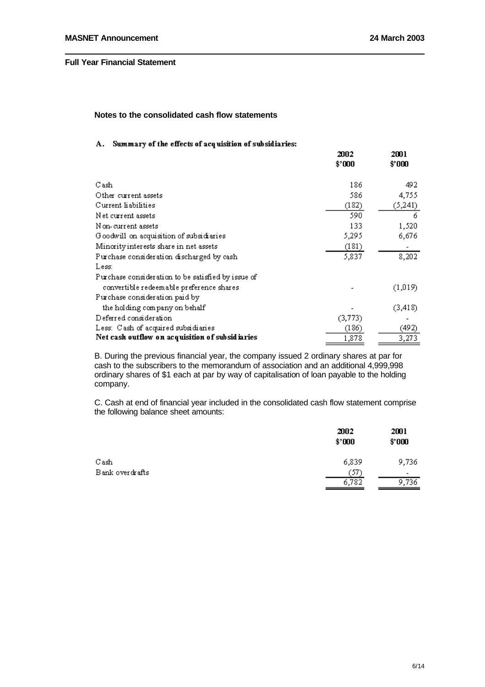aco<sub>1</sub>

anna.

# **Notes to the consolidated cash flow statements**

### A. Summary of the effects of acquisition of subsidiaries:

|                                                    | AJUZ<br>\$'000 | ∠wu<br>\$'000 |
|----------------------------------------------------|----------------|---------------|
| Cash                                               | 186            | 492           |
| Other current assets                               | 586            | 4,755         |
| Current liabilities                                | (182)          | (5,241)       |
| Net current assets                                 | 590            | 6             |
| N on-current assets                                | 133            | 1,520         |
| Goodwill on acquisition of subsidiaries            | 5,295          | 6,676         |
| Minority interests share in net assets             | (181)          |               |
| Purchase consideration discharged by cash          | 5,837          | 8,202         |
| Less:                                              |                |               |
| Purchase consideration to be satisfied by issue of |                |               |
| convertible redeemable preference shares           |                | (1,019)       |
| Purchase consideration paid by                     |                |               |
| the holding company on behalf                      |                | (3, 418)      |
| Deferred consideration                             | (3,773)        |               |
| Less: Cash of acquired subsidiaries                | (186)          | (492)         |
| Net cash outflow on acquisition of subsidiaries    | 1,878          | 3,273         |

B. During the previous financial year, the company issued 2 ordinary shares at par for cash to the subscribers to the memorandum of association and an additional 4,999,998 ordinary shares of \$1 each at par by way of capitalisation of loan payable to the holding company.

C. Cash at end of financial year included in the consolidated cash flow statement comprise the following balance sheet amounts:

|                 | 2002<br>\$'000 | 2001<br>\$000 |
|-----------------|----------------|---------------|
| Cash            | 6,839          | 9,736         |
| Bank overdrafts | '57'           | ٠             |
|                 | 6,782          | 9,736         |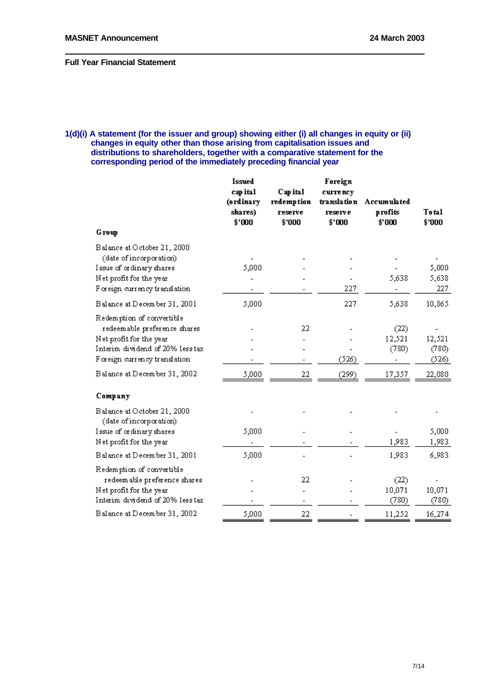# **1(d)(i) A statement (for the issuer and group) showing either (i) all changes in equity or (ii) changes in equity other than those arising from capitalisation issues and distributions to shareholders, together with a comparative statement for the corresponding period of the immediately preceding financial year**

|                                                                                                                                                          | <b>Issued</b><br>cap ital<br>(ordinary<br>shares)<br>\$'000 | Cap ital<br>redemption<br>reserve<br>\$'000 | Foreign<br>currency<br>translation<br>reserve<br>\$'000 | Accumulated<br>profits<br>\$'000 | Total<br>\$'000          |
|----------------------------------------------------------------------------------------------------------------------------------------------------------|-------------------------------------------------------------|---------------------------------------------|---------------------------------------------------------|----------------------------------|--------------------------|
| Group                                                                                                                                                    |                                                             |                                             |                                                         |                                  |                          |
| Balance at October 21, 2000<br>(date of incorporation)<br>Issue of ordinary shares<br>Net profit for the year<br>Foreign currency translation            | 5,000                                                       |                                             | 227                                                     | 5,638                            | 5,000<br>5,638<br>227    |
| Balance at December 31, 2001                                                                                                                             | 5,000                                                       |                                             | 227                                                     | 5,638                            | 10,865                   |
| Redemption of convertible<br>redeemable preference shares<br>Net profit for the year<br>Interim dividend of 20% less tax<br>Foreign currency translation |                                                             | 22                                          | (526)                                                   | (22)<br>12,521<br>(780)          | 12,521<br>(780)<br>(526) |
| Balance at December 31, 2002                                                                                                                             | 5,000                                                       | 22                                          | (299)                                                   | 17,357                           | 22,080                   |
| Company                                                                                                                                                  |                                                             |                                             |                                                         |                                  |                          |
| Balance at October 21, 2000<br>(date of incorporation)                                                                                                   |                                                             |                                             |                                                         |                                  |                          |
| Issue of ordinary shares<br>Net profit for the year                                                                                                      | 5,000                                                       |                                             |                                                         | 1,983                            | 5,000<br>1,983           |
| Balance at December 31, 2001                                                                                                                             | 5,000                                                       |                                             |                                                         | 1,983                            | 6,983                    |
| Redemption of convertible<br>redeem able preference shares<br>Net profit for the year<br>Interim dividend of 20% less tax                                |                                                             | 22                                          |                                                         | (22)<br>10,071<br>(780)          | 10,071<br>(780)          |
| Balance at December 31, 2002                                                                                                                             | 5,000                                                       | 22                                          |                                                         | 11,252                           | 16,274                   |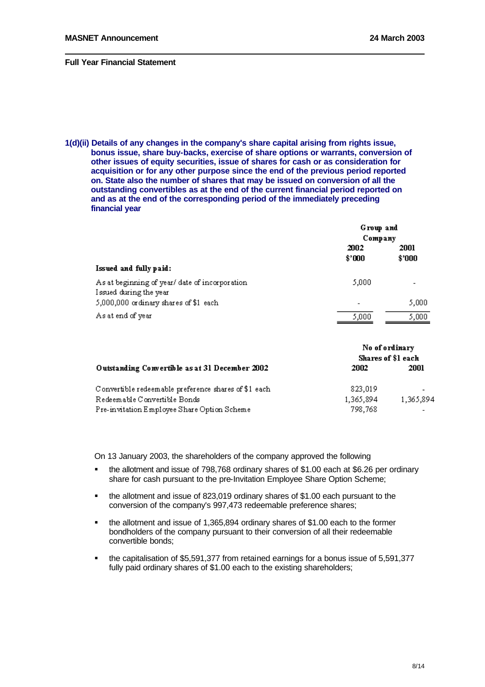**1(d)(ii) Details of any changes in the company's share capital arising from rights issue, bonus issue, share buy-backs, exercise of share options or warrants, conversion of other issues of equity securities, issue of shares for cash or as consideration for acquisition or for any other purpose since the end of the previous period reported on. State also the number of shares that may be issued on conversion of all the outstanding convertibles as at the end of the current financial period reported on and as at the end of the corresponding period of the immediately preceding financial year**

|                                                | Group and                |        |  |
|------------------------------------------------|--------------------------|--------|--|
|                                                | Company                  |        |  |
|                                                | 2002                     | 2001   |  |
|                                                | \$'000                   | \$'000 |  |
| Issued and fully paid:                         |                          |        |  |
| As at beginning of year/ date of incorporation | 5,000                    | -      |  |
| Issued during the year                         |                          |        |  |
| 5,000,000 ordinary shares of \$1 each          | $\overline{\phantom{0}}$ | 5,000  |  |
| As at end of year                              | 5,000                    | 5,000  |  |

|                                                      | No of ordinary<br>Shares of \$1 each |           |
|------------------------------------------------------|--------------------------------------|-----------|
| Outstanding Convertible as at 31 December 2002       | 2002                                 | 2001      |
| Convertible redeemable preference shares of \$1 each | 823,019                              |           |
| Redeemable Convertible Bonds                         | 1,365,894                            | 1,365,894 |
| Pre-invitation Employee Share Option Scheme          | 798.768                              |           |

On 13 January 2003, the shareholders of the company approved the following

- **•** the allotment and issue of 798,768 ordinary shares of \$1,00 each at \$6.26 per ordinary share for cash pursuant to the pre-Invitation Employee Share Option Scheme;
- the allotment and issue of 823,019 ordinary shares of \$1.00 each pursuant to the conversion of the company's 997,473 redeemable preference shares;
- ß the allotment and issue of 1,365,894 ordinary shares of \$1.00 each to the former bondholders of the company pursuant to their conversion of all their redeemable convertible bonds;
- ß the capitalisation of \$5,591,377 from retained earnings for a bonus issue of 5,591,377 fully paid ordinary shares of \$1.00 each to the existing shareholders: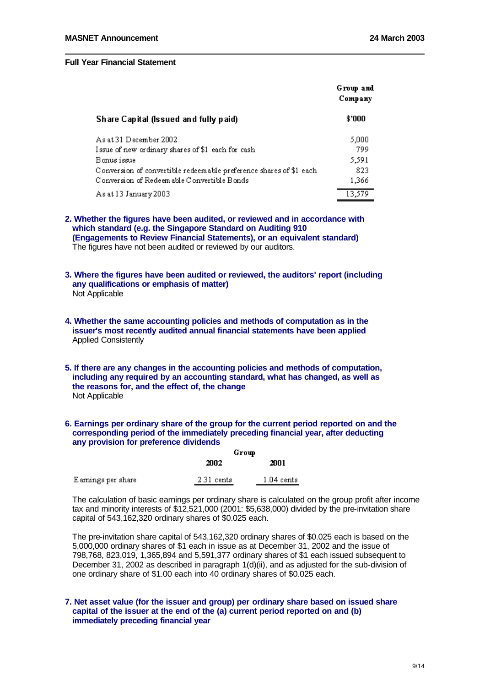|                                                                    | Group and<br>Company |
|--------------------------------------------------------------------|----------------------|
| Share Capital (Issued and fully paid)                              | \$'000               |
| As at 31 December 2002                                             | 5,000                |
| Issue of new ordinary shares of \$1 each for cash                  | 799                  |
| Bonus issue                                                        | 5,591                |
| Conversion of convertible redeemable preference shares of \$1 each | 823                  |
| Conversion of Redeem able Convertible Bonds                        | 1,366                |
| As at 13 January 2003                                              | 13.579               |

**2. Whether the figures have been audited, or reviewed and in accordance with which standard (e.g. the Singapore Standard on Auditing 910 (Engagements to Review Financial Statements), or an equivalent standard)** The figures have not been audited or reviewed by our auditors.

- **3. Where the figures have been audited or reviewed, the auditors' report (including any qualifications or emphasis of matter)** Not Applicable
- **4. Whether the same accounting policies and methods of computation as in the issuer's most recently audited annual financial statements have been applied** Applied Consistently
- **5. If there are any changes in the accounting policies and methods of computation, including any required by an accounting standard, what has changed, as well as the reasons for, and the effect of, the change** Not Applicable

# **6. Earnings per ordinary share of the group for the current period reported on and the corresponding period of the immediately preceding financial year, after deducting any provision for preference dividends**

|                     | Grow         |                      |
|---------------------|--------------|----------------------|
|                     | 2002         | 2001                 |
| E arnings per share | $2.31$ cents | $1.04 \text{ cents}$ |

The calculation of basic earnings per ordinary share is calculated on the group profit after income tax and minority interests of \$12,521,000 (2001: \$5,638,000) divided by the pre-invitation share capital of 543,162,320 ordinary shares of \$0.025 each.

The pre-invitation share capital of 543,162,320 ordinary shares of \$0.025 each is based on the 5,000,000 ordinary shares of \$1 each in issue as at December 31, 2002 and the issue of 798,768, 823,019, 1,365,894 and 5,591,377 ordinary shares of \$1 each issued subsequent to December 31, 2002 as described in paragraph 1(d)(ii), and as adjusted for the sub-division of one ordinary share of \$1.00 each into 40 ordinary shares of \$0.025 each.

## **7. Net asset value (for the issuer and group) per ordinary share based on issued share capital of the issuer at the end of the (a) current period reported on and (b) immediately preceding financial year**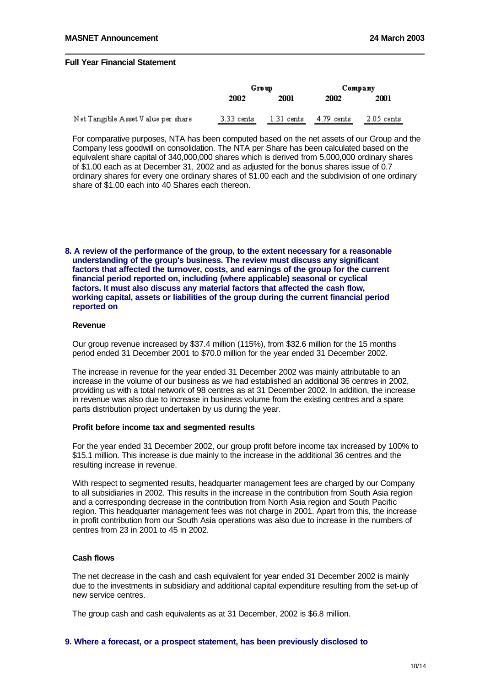|                                     | Group      |                      | Company      |              |
|-------------------------------------|------------|----------------------|--------------|--------------|
|                                     | 2002       | 2001                 | 2002         | 2001         |
| Net Tangible Asset V alue per share | 3.33 cents | $1.31 \text{ cents}$ | $4.79$ cents | $2.05$ cents |

For comparative purposes, NTA has been computed based on the net assets of our Group and the Company less goodwill on consolidation. The NTA per Share has been calculated based on the equivalent share capital of 340,000,000 shares which is derived from 5,000,000 ordinary shares of \$1.00 each as at December 31, 2002 and as adjusted for the bonus shares issue of 0.7 ordinary shares for every one ordinary shares of \$1.00 each and the subdivision of one ordinary share of \$1.00 each into 40 Shares each thereon.

**8. A review of the performance of the group, to the extent necessary for a reasonable understanding of the group's business. The review must discuss any significant factors that affected the turnover, costs, and earnings of the group for the current financial period reported on, including (where applicable) seasonal or cyclical factors. It must also discuss any material factors that affected the cash flow, working capital, assets or liabilities of the group during the current financial period reported on**

#### **Revenue**

Our group revenue increased by \$37.4 million (115%), from \$32.6 million for the 15 months period ended 31 December 2001 to \$70.0 million for the year ended 31 December 2002.

The increase in revenue for the year ended 31 December 2002 was mainly attributable to an increase in the volume of our business as we had established an additional 36 centres in 2002, providing us with a total network of 98 centres as at 31 December 2002. In addition, the increase in revenue was also due to increase in business volume from the existing centres and a spare parts distribution project undertaken by us during the year.

### **Profit before income tax and segmented results**

For the year ended 31 December 2002, our group profit before income tax increased by 100% to \$15.1 million. This increase is due mainly to the increase in the additional 36 centres and the resulting increase in revenue.

With respect to segmented results, headquarter management fees are charged by our Company to all subsidiaries in 2002. This results in the increase in the contribution from South Asia region and a corresponding decrease in the contribution from North Asia region and South Pacific region. This headquarter management fees was not charge in 2001. Apart from this, the increase in profit contribution from our South Asia operations was also due to increase in the numbers of centres from 23 in 2001 to 45 in 2002.

# **Cash flows**

The net decrease in the cash and cash equivalent for year ended 31 December 2002 is mainly due to the investments in subsidiary and additional capital expenditure resulting from the set-up of new service centres.

The group cash and cash equivalents as at 31 December, 2002 is \$6.8 million.

### **9. Where a forecast, or a prospect statement, has been previously disclosed to**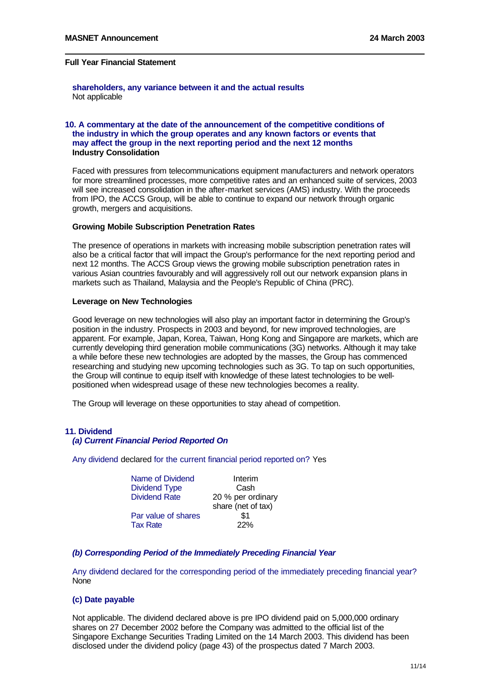**shareholders, any variance between it and the actual results** Not applicable

## **10. A commentary at the date of the announcement of the competitive conditions of the industry in which the group operates and any known factors or events that may affect the group in the next reporting period and the next 12 months Industry Consolidation**

Faced with pressures from telecommunications equipment manufacturers and network operators for more streamlined processes, more competitive rates and an enhanced suite of services, 2003 will see increased consolidation in the after-market services (AMS) industry. With the proceeds from IPO, the ACCS Group, will be able to continue to expand our network through organic growth, mergers and acquisitions.

### **Growing Mobile Subscription Penetration Rates**

The presence of operations in markets with increasing mobile subscription penetration rates will also be a critical factor that will impact the Group's performance for the next reporting period and next 12 months. The ACCS Group views the growing mobile subscription penetration rates in various Asian countries favourably and will aggressively roll out our network expansion plans in markets such as Thailand, Malaysia and the People's Republic of China (PRC).

### **Leverage on New Technologies**

Good leverage on new technologies will also play an important factor in determining the Group's position in the industry. Prospects in 2003 and beyond, for new improved technologies, are apparent. For example, Japan, Korea, Taiwan, Hong Kong and Singapore are markets, which are currently developing third generation mobile communications (3G) networks. Although it may take a while before these new technologies are adopted by the masses, the Group has commenced researching and studying new upcoming technologies such as 3G. To tap on such opportunities, the Group will continue to equip itself with knowledge of these latest technologies to be wellpositioned when widespread usage of these new technologies becomes a reality.

The Group will leverage on these opportunities to stay ahead of competition.

### **11. Dividend**

## *(a) Current Financial Period Reported On*

Any dividend declared for the current financial period reported on? Yes

| Name of Dividend     | Interim            |
|----------------------|--------------------|
| <b>Dividend Type</b> | Cash               |
| <b>Dividend Rate</b> | 20 % per ordinary  |
|                      | share (net of tax) |
| Par value of shares  | \$1                |
| <b>Tax Rate</b>      | 22%                |

# *(b) Corresponding Period of the Immediately Preceding Financial Year*

Any dividend declared for the corresponding period of the immediately preceding financial year? None

### **(c) Date payable**

Not applicable. The dividend declared above is pre IPO dividend paid on 5,000,000 ordinary shares on 27 December 2002 before the Company was admitted to the official list of the Singapore Exchange Securities Trading Limited on the 14 March 2003. This dividend has been disclosed under the dividend policy (page 43) of the prospectus dated 7 March 2003.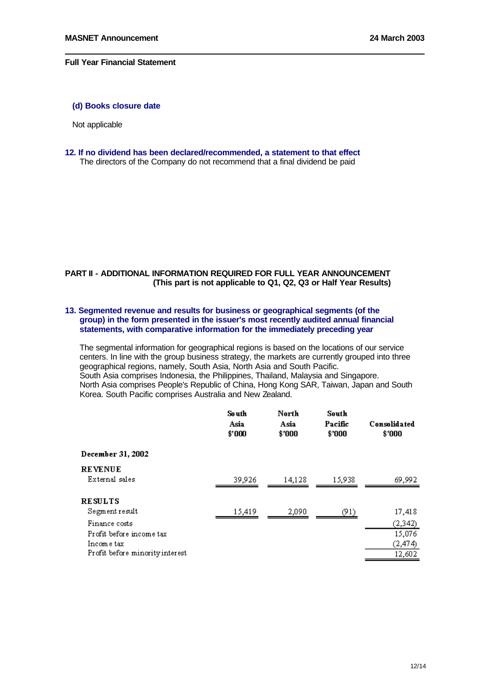# **(d) Books closure date**

Not applicable

**12. If no dividend has been declared/recommended, a statement to that effect** The directors of the Company do not recommend that a final dividend be paid

# **PART II - ADDITIONAL INFORMATION REQUIRED FOR FULL YEAR ANNOUNCEMENT (This part is not applicable to Q1, Q2, Q3 or Half Year Results)**

## **13. Segmented revenue and results for business or geographical segments (of the group) in the form presented in the issuer's most recently audited annual financial statements, with comparative information for the immediately preceding year**

The segmental information for geographical regions is based on the locations of our service centers. In line with the group business strategy, the markets are currently grouped into three geographical regions, namely, South Asia, North Asia and South Pacific. South Asia comprises Indonesia, the Philippines, Thailand, Malaysia and Singapore. North Asia comprises People's Republic of China, Hong Kong SAR, Taiwan, Japan and South Korea. South Pacific comprises Australia and New Zealand.

|                                                         | So uth<br>Asia<br>\$'000 | North<br>Asia<br>\$'000 | South<br>Pacific<br>\$'000 | Consolidated<br>\$'000       |
|---------------------------------------------------------|--------------------------|-------------------------|----------------------------|------------------------------|
| December 31, 2002                                       |                          |                         |                            |                              |
| <b>REVENUE</b><br>External sales                        | 39,926                   | 14,128                  | 15,938                     | 69,992                       |
| <b>RESULTS</b><br>Segment result                        | 15,419                   | 2,090                   | (91)                       | 17,418                       |
| Finance costs<br>Profit before income tax<br>Income tax |                          |                         |                            | (2,342)<br>15,076<br>(2,474) |
| Profit before minority interest                         |                          |                         |                            | 12,602                       |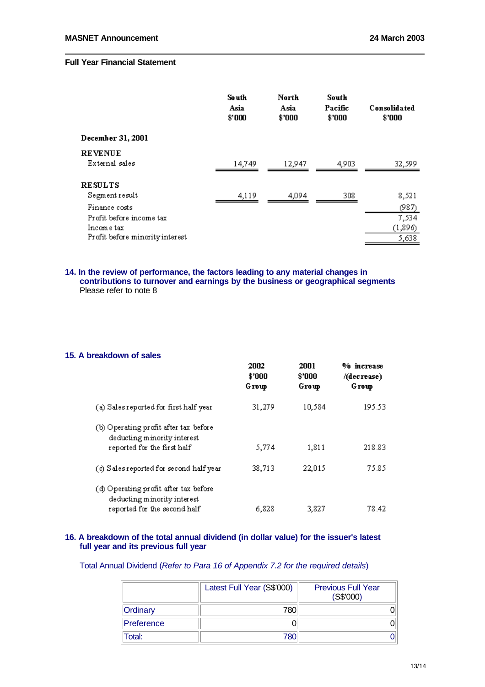|                                                                            | So uth<br>Asia<br>\$'000 | North<br>Asia<br>\$'000 | South<br>Pacific<br>\$'000 | Consolidated<br>\$'000    |
|----------------------------------------------------------------------------|--------------------------|-------------------------|----------------------------|---------------------------|
| December 31, 2001                                                          |                          |                         |                            |                           |
| <b>REVENUE</b><br>External sales                                           | 14,749                   | 12.947                  | 4,903                      | 32,599                    |
| <b>RESULTS</b><br>Segment result<br>Finance costs                          | 4,119                    | 4,094                   | 308                        | 8,521<br>(987)            |
| Profit before income tax<br>Incom e tax<br>Profit before minority interest |                          |                         |                            | 7,534<br>(1,896)<br>5,638 |

### **14. In the review of performance, the factors leading to any material changes in contributions to turnover and earnings by the business or geographical segments** Please refer to note 8

### **15. A breakdown of sales**

|                                                                                                      | 2002<br>\$'000<br>Group | 2001<br>\$'000<br>Group | % increase<br>/(decrease)<br>Group |
|------------------------------------------------------------------------------------------------------|-------------------------|-------------------------|------------------------------------|
| (a) Sales reported for first half year                                                               | 31,279                  | 10.584                  | 195.53                             |
| (b) Operating profit after tax before<br>deducting minority interest<br>reported for the first half  | 5,774                   | 1,811                   | 218.83                             |
| (c) Sales reported for second half year                                                              | 38,713                  | 22,015                  | 75.85.                             |
| (d) Operating profit after tax before<br>deducting minority interest<br>reported for the second half | 6,828                   | 3,827                   | 78.42                              |

# **16. A breakdown of the total annual dividend (in dollar value) for the issuer's latest full year and its previous full year**

Total Annual Dividend (*Refer to Para 16 of Appendix 7.2 for the required details*)

|            | Latest Full Year (S\$'000) | <b>Previous Full Year</b><br>(S\$'000) |
|------------|----------------------------|----------------------------------------|
| Ordinary   | 780                        |                                        |
| Preference |                            |                                        |
| Total:     | 780                        |                                        |